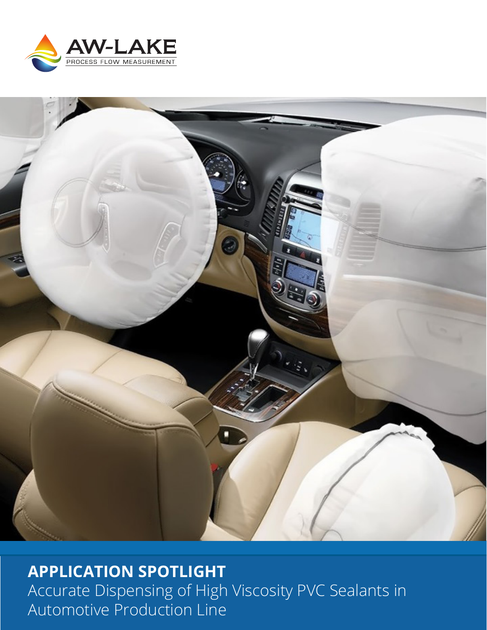



**APPLICATION SPOTLIGHT** Accurate Dispensing of High Viscosity PVC Sealants in Automotive Production Line